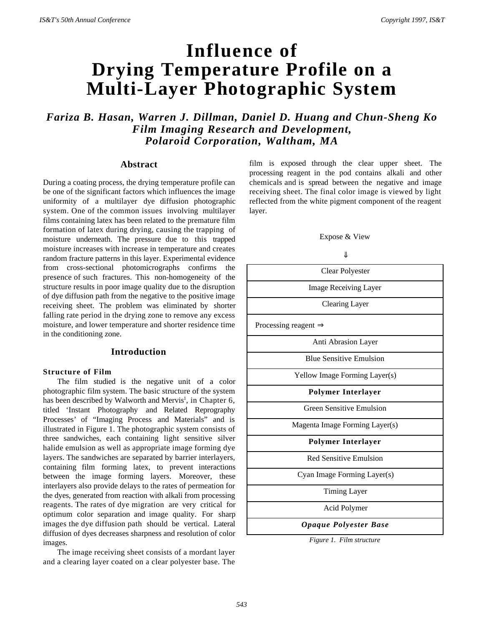# **Influence of Drying Temperature Profile on a Multi-Layer Photographic System**

*Fariza B. Hasan, Warren J. Dillman, Daniel D. Huang and Chun-Sheng Ko Film Imaging Research and Development, Polaroid Corporation, Waltham, MA*

## **Abstract**

During a coating process, the drying temperature profile can be one of the significant factors which influences the image uniformity of a multilayer dye diffusion photographic system. One of the common issues involving multilayer films containing latex has been related to the premature film formation of latex during drying, causing the trapping of moisture underneath. The pressure due to this trapped moisture increases with increase in temperature and creates random fracture patterns in this layer. Experimental evidence from cross-sectional photomicrographs confirms the presence of such fractures. This non-homogeneity of the structure results in poor image quality due to the disruption of dye diffusion path from the negative to the positive image receiving sheet. The problem was eliminated by shorter falling rate period in the drying zone to remove any excess moisture, and lower temperature and shorter residence time in the conditioning zone.

## **Introduction**

## **Structure of Film**

The film studied is the negative unit of a color photographic film system. The basic structure of the system has been described by Walworth and Mervis<sup>1</sup>, in Chapter 6, titled 'Instant Photography and Related Reprography Processes' of "Imaging Process and Materials" and is illustrated in Figure 1. The photographic system consists of three sandwiches, each containing light sensitive silver halide emulsion as well as appropriate image forming dye layers. The sandwiches are separated by barrier interlayers, containing film forming latex, to prevent interactions between the image forming layers. Moreover, these interlayers also provide delays to the rates of permeation for the dyes, generated from reaction with alkali from processing reagents. The rates of dye migration are very critical for optimum color separation and image quality. For sharp images the dye diffusion path should be vertical. Lateral diffusion of dyes decreases sharpness and resolution of color images.

The image receiving sheet consists of a mordant layer and a clearing layer coated on a clear polyester base. The film is exposed through the clear upper sheet. The processing reagent in the pod contains alkali and other chemicals and is spread between the negative and image receiving sheet. The final color image is viewed by light reflected from the white pigment component of the reagent layer.

Expose & View

| JL                               |  |
|----------------------------------|--|
| Clear Polyester                  |  |
| <b>Image Receiving Layer</b>     |  |
| <b>Clearing Layer</b>            |  |
| Processing reagent $\Rightarrow$ |  |
| Anti Abrasion Layer              |  |
| <b>Blue Sensitive Emulsion</b>   |  |
| Yellow Image Forming Layer(s)    |  |
| Polymer Interlayer               |  |
| <b>Green Sensitive Emulsion</b>  |  |
| Magenta Image Forming Layer(s)   |  |
| Polymer Interlayer               |  |
| Red Sensitive Emulsion           |  |
| Cyan Image Forming Layer(s)      |  |
| <b>Timing Layer</b>              |  |
| Acid Polymer                     |  |
| <b>Opaque Polyester Base</b>     |  |

*Figure 1. Film structure*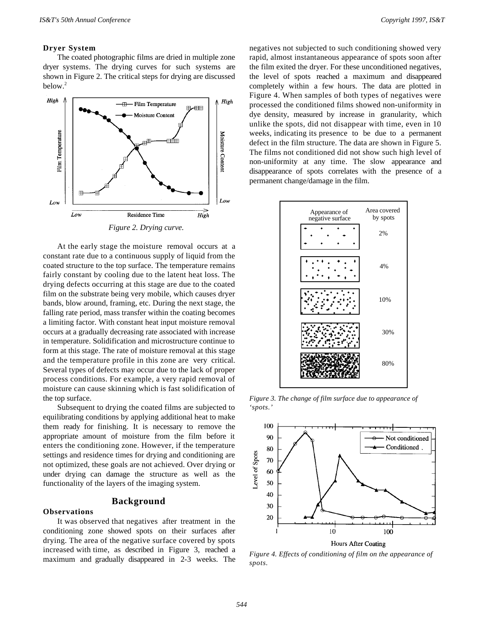## **Dryer System**

The coated photographic films are dried in multiple zone dryer systems. The drying curves for such systems are shown in Figure 2. The critical steps for drying are discussed below.<sup>2</sup>



At the early stage the moisture removal occurs at a constant rate due to a continuous supply of liquid from the coated structure to the top surface. The temperature remains fairly constant by cooling due to the latent heat loss. The drying defects occurring at this stage are due to the coated film on the substrate being very mobile, which causes dryer bands, blow around, framing, etc. During the next stage, the falling rate period, mass transfer within the coating becomes a limiting factor. With constant heat input moisture removal occurs at a gradually decreasing rate associated with increase in temperature. Solidification and microstructure continue to form at this stage. The rate of moisture removal at this stage and the temperature profile in this zone are very critical. Several types of defects may occur due to the lack of proper process conditions. For example, a very rapid removal of moisture can cause skinning which is fast solidification of the top surface.

Subsequent to drying the coated films are subjected to equilibrating conditions by applying additional heat to make them ready for finishing. It is necessary to remove the appropriate amount of moisture from the film before it enters the conditioning zone. However, if the temperature settings and residence times for drying and conditioning are not optimized, these goals are not achieved. Over drying or under drying can damage the structure as well as the functionality of the layers of the imaging system.

# **Background**

#### **Observations**

It was observed that negatives after treatment in the conditioning zone showed spots on their surfaces after drying. The area of the negative surface covered by spots increased with time, as described in Figure 3, reached a maximum and gradually disappeared in 2-3 weeks. The

negatives not subjected to such conditioning showed very rapid, almost instantaneous appearance of spots soon after the film exited the dryer. For these unconditioned negatives, the level of spots reached a maximum and disappeared completely within a few hours. The data are plotted in Figure 4. When samples of both types of negatives were processed the conditioned films showed non-uniformity in dye density, measured by increase in granularity, which unlike the spots, did not disappear with time, even in 10 weeks, indicating its presence to be due to a permanent defect in the film structure. The data are shown in Figure 5. The films not conditioned did not show such high level of non-uniformity at any time. The slow appearance and disappearance of spots correlates with the presence of a permanent change/damage in the film.



*Figure 3. The change of film surface due to appearance of 'spots.'*



*Figure 4. Effects of conditioning of film on the appearance of spots.*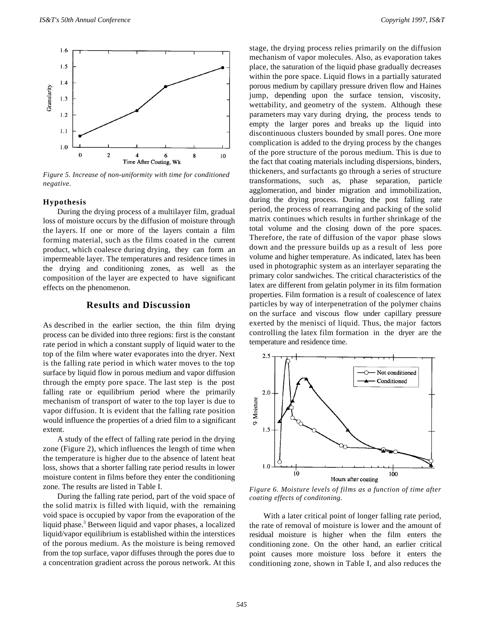

*Figure 5. Increase of non-uniformity with time for conditioned negative.*

#### **Hypothesis**

During the drying process of a multilayer film, gradual loss of moisture occurs by the diffusion of moisture through the layers. If one or more of the layers contain a film forming material, such as the films coated in the current product, which coalesce during drying, they can form an impermeable layer. The temperatures and residence times in the drying and conditioning zones, as well as the composition of the layer are expected to have significant effects on the phenomenon.

# **Results and Discussion**

As described in the earlier section, the thin film drying process can be divided into three regions: first is the constant rate period in which a constant supply of liquid water to the top of the film where water evaporates into the dryer. Next is the falling rate period in which water moves to the top surface by liquid flow in porous medium and vapor diffusion through the empty pore space. The last step is the post falling rate or equilibrium period where the primarily mechanism of transport of water to the top layer is due to vapor diffusion. It is evident that the falling rate position would influence the properties of a dried film to a significant extent.

A study of the effect of falling rate period in the drying zone (Figure 2), which influences the length of time when the temperature is higher due to the absence of latent heat loss, shows that a shorter falling rate period results in lower moisture content in films before they enter the conditioning zone. The results are listed in Table I.

During the falling rate period, part of the void space of the solid matrix is filled with liquid, with the remaining void space is occupied by vapor from the evaporation of the liquid phase.<sup>3</sup> Between liquid and vapor phases, a localized liquid/vapor equilibrium is established within the interstices of the porous medium. As the moisture is being removed from the top surface, vapor diffuses through the pores due to a concentration gradient across the porous network. At this

stage, the drying process relies primarily on the diffusion mechanism of vapor molecules. Also, as evaporation takes place, the saturation of the liquid phase gradually decreases within the pore space. Liquid flows in a partially saturated porous medium by capillary pressure driven flow and Haines jump, depending upon the surface tension, viscosity, wettability, and geometry of the system. Although these parameters may vary during drying, the process tends to empty the larger pores and breaks up the liquid into discontinuous clusters bounded by small pores. One more complication is added to the drying process by the changes of the pore structure of the porous medium. This is due to the fact that coating materials including dispersions, binders, thickeners, and surfactants go through a series of structure transformations, such as, phase separation, particle agglomeration, and binder migration and immobilization, during the drying process. During the post falling rate period, the process of rearranging and packing of the solid matrix continues which results in further shrinkage of the total volume and the closing down of the pore spaces. Therefore, the rate of diffusion of the vapor phase slows down and the pressure builds up as a result of less pore volume and higher temperature. As indicated, latex has been used in photographic system as an interlayer separating the primary color sandwiches. The critical characteristics of the latex are different from gelatin polymer in its film formation properties. Film formation is a result of coalescence of latex particles by way of interpenetration of the polymer chains on the surface and viscous flow under capillary pressure exerted by the menisci of liquid. Thus, the major factors controlling the latex film formation in the dryer are the temperature and residence time.



*Figure 6. Moisture levels of films as a function of time after coating effects of conditoning.*

With a later critical point of longer falling rate period, the rate of removal of moisture is lower and the amount of residual moisture is higher when the film enters the conditioning zone. On the other hand, an earlier critical point causes more moisture loss before it enters the conditioning zone, shown in Table I, and also reduces the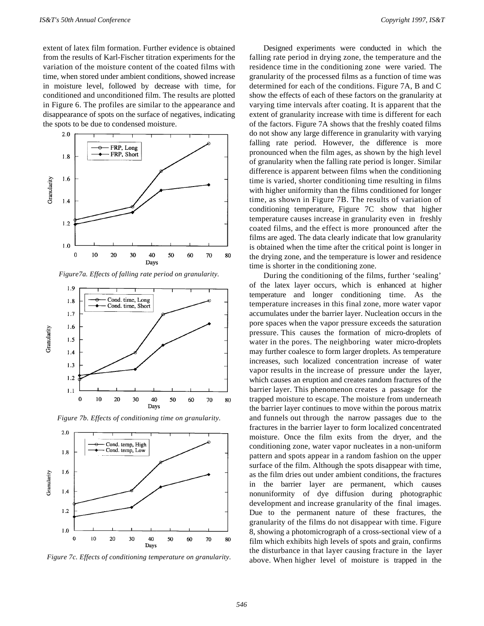extent of latex film formation. Further evidence is obtained from the results of Karl-Fischer titration experiments for the variation of the moisture content of the coated films with time, when stored under ambient conditions, showed increase in moisture level, followed by decrease with time, for conditioned and unconditioned film. The results are plotted in Figure 6. The profiles are similar to the appearance and disappearance of spots on the surface of negatives, indicating the spots to be due to condensed moisture.



*Figure7a. Effects of falling rate period on granularity.*



*Figure 7b. Effects of conditioning time on granularity.*



*Figure 7c. Effects of conditioning temperature on granularity.*

Designed experiments were conducted in which the falling rate period in drying zone, the temperature and the residence time in the conditioning zone were varied. The granularity of the processed films as a function of time was determined for each of the conditions. Figure 7A, B and C show the effects of each of these factors on the granularity at varying time intervals after coating. It is apparent that the extent of granularity increase with time is different for each of the factors. Figure 7A shows that the freshly coated films do not show any large difference in granularity with varying falling rate period. However, the difference is more pronounced when the film ages, as shown by the high level of granularity when the falling rate period is longer. Similar difference is apparent between films when the conditioning time is varied, shorter conditioning time resulting in films with higher uniformity than the films conditioned for longer time, as shown in Figure 7B. The results of variation of conditioning temperature, Figure 7C show that higher temperature causes increase in granularity even in freshly coated films, and the effect is more pronounced after the films are aged. The data clearly indicate that low granularity is obtained when the time after the critical point is longer in the drying zone, and the temperature is lower and residence time is shorter in the conditioning zone.

During the conditioning of the films, further 'sealing' of the latex layer occurs, which is enhanced at higher temperature and longer conditioning time. As the temperature increases in this final zone, more water vapor accumulates under the barrier layer. Nucleation occurs in the pore spaces when the vapor pressure exceeds the saturation pressure. This causes the formation of micro-droplets of water in the pores. The neighboring water micro-droplets may further coalesce to form larger droplets. As temperature increases, such localized concentration increase of water vapor results in the increase of pressure under the layer, which causes an eruption and creates random fractures of the barrier layer. This phenomenon creates a passage for the trapped moisture to escape. The moisture from underneath the barrier layer continues to move within the porous matrix and funnels out through the narrow passages due to the fractures in the barrier layer to form localized concentrated moisture. Once the film exits from the dryer, and the conditioning zone, water vapor nucleates in a non-uniform pattern and spots appear in a random fashion on the upper surface of the film. Although the spots disappear with time, as the film dries out under ambient conditions, the fractures in the barrier layer are permanent, which causes nonuniformity of dye diffusion during photographic development and increase granularity of the final images. Due to the permanent nature of these fractures, the granularity of the films do not disappear with time. Figure 8, showing a photomicrograph of a cross-sectional view of a film which exhibits high levels of spots and grain, confirms the disturbance in that layer causing fracture in the layer above. When higher level of moisture is trapped in the